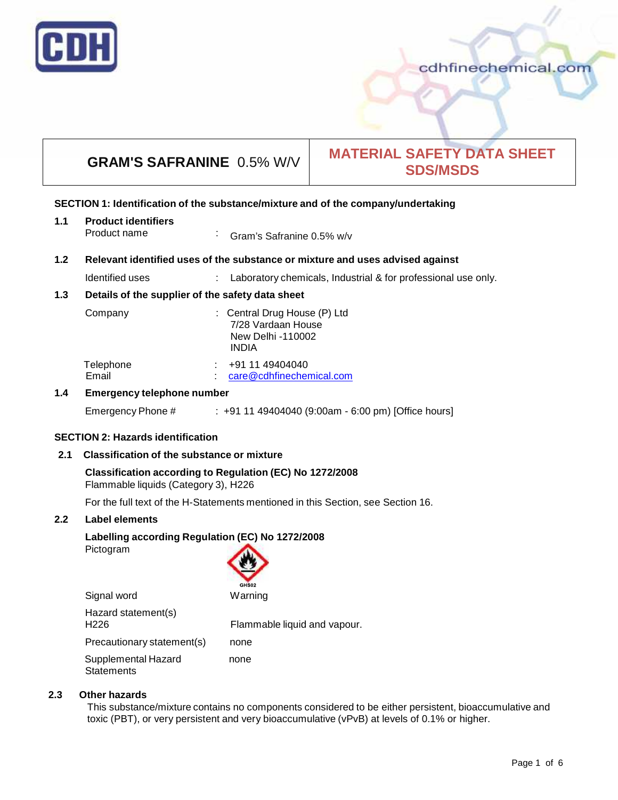

# **GRAM'S SAFRANINE** 0.5% W/V **MATERIAL SAFETY DATA SHEET SDS/MSDS**

#### **SECTION 1: Identification of the substance/mixture and of the company/undertaking**

| 1.1 | <b>Product identifiers</b> |                                   |
|-----|----------------------------|-----------------------------------|
|     | Product name               | $\cdot$ Gram's Safranine 0.5% w/v |

#### **1.2 Relevant identified uses of the substance ormixture and uses advised against**

Identified uses : Laboratory chemicals, Industrial & for professional use only.

#### **1.3 Details of the supplier of the safety data sheet**

| Company                   | : Central Drug House (P) Ltd<br>7/28 Vardaan House<br>New Delhi -110002<br><b>INDIA</b> |
|---------------------------|-----------------------------------------------------------------------------------------|
| Telephone<br>. .<br>Email | +91 11 49404040<br>care@cdhfinechemical.com                                             |

#### **1.4 Emergency telephone number**

Emergency Phone # : +91 11 49404040 (9:00am - 6:00 pm) [Office hours]

#### **SECTION 2: Hazards identification**

#### **2.1 Classification of the substance ormixture**

#### **Classification according to Regulation (EC) No 1272/2008** Flammable liquids (Category 3), H226

For the full text of the H-Statements mentioned in this Section, see Section 16.

#### **2.2 Label elements**

### **Labelling according Regulation (EC) No 1272/2008**

Pictogram



| Hazard statement(s)<br>H <sub>226</sub> | Flammable liquid and vapour. |
|-----------------------------------------|------------------------------|
| Precautionary statement(s)              | none                         |
| Supplemental Hazard<br>Statements       | none                         |

#### **2.3 Other hazards**

This substance/mixture contains no components considered to be either persistent, bioaccumulative and toxic (PBT), or very persistent and very bioaccumulative (vPvB) at levels of 0.1% or higher.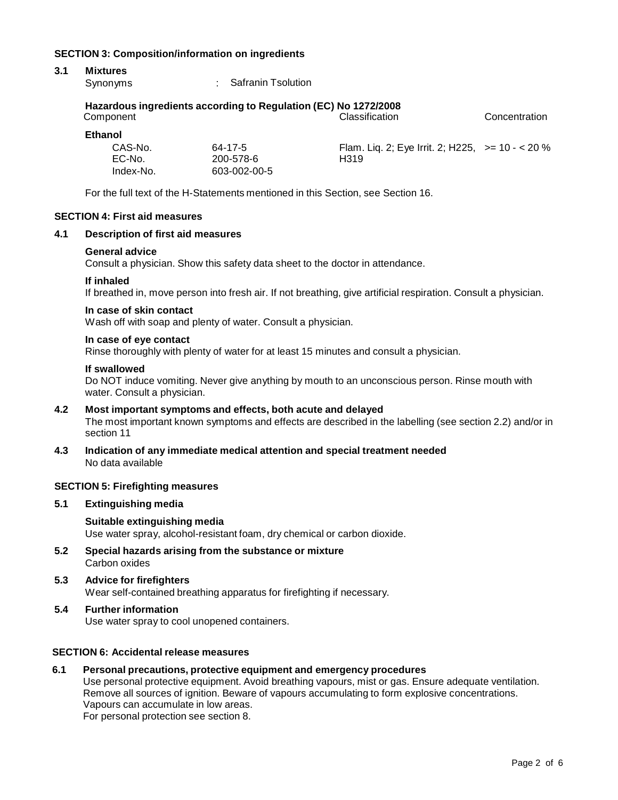#### **SECTION 3: Composition/information on ingredients**

# **3.1 Mixtures**

: Safranin Tsolution

#### **Hazardous ingredients according to Regulation (EC) No 1272/2008**

| Component         |                      | <b>Classification</b>                                     | Concentration |
|-------------------|----------------------|-----------------------------------------------------------|---------------|
| <b>Ethanol</b>    |                      |                                                           |               |
| CAS-No.<br>EC-No. | 64-17-5<br>200-578-6 | Flam. Liq. 2; Eye Irrit. 2; H225, $> = 10 - 20\%$<br>H319 |               |
| Index-No.         | 603-002-00-5         |                                                           |               |

For the full text of the H-Statements mentioned in this Section, see Section 16.

#### **SECTION 4: First aid measures**

#### **4.1 Description of first aid measures**

#### **General advice**

Consult a physician. Show this safety data sheet to the doctor in attendance.

#### **If inhaled**

If breathed in, move person into fresh air. If not breathing, give artificial respiration. Consult a physician.

#### **In case of skin contact**

Wash off with soap and plenty of water. Consult a physician.

#### **In case of eye contact**

Rinse thoroughly with plenty of water for at least 15 minutes and consult a physician.

#### **If swallowed**

Do NOT induce vomiting. Never give anything by mouth to an unconscious person. Rinse mouth with water. Consult a physician.

#### **4.2 Most important symptoms and effects, both acute and delayed** The most important known symptoms and effects are described in the labelling (see section 2.2) and/or in section 11

**4.3 Indication of any immediate medical attention and special treatment needed** No data available

#### **SECTION 5: Firefighting measures**

#### **5.1 Extinguishing media**

#### **Suitable extinguishing media** Use water spray, alcohol-resistant foam, dry chemical or carbon dioxide.

- **5.2 Special hazards arising from the substance ormixture** Carbon oxides
- **5.3 Advice for firefighters** Wear self-contained breathing apparatus for firefighting if necessary.

# **5.4 Further information**

Use water spray to cool unopened containers.

#### **SECTION 6: Accidental release measures**

#### **6.1 Personal precautions, protective equipment and emergency procedures**

Use personal protective equipment. Avoid breathing vapours, mist or gas. Ensure adequate ventilation. Remove all sources of ignition. Beware of vapours accumulating to form explosive concentrations. Vapours can accumulate in low areas.

For personal protection see section 8.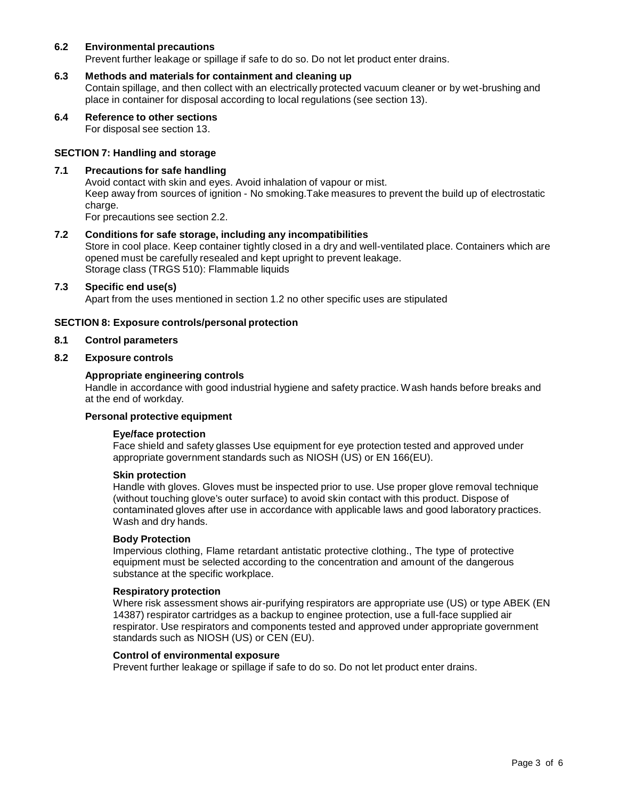#### **6.2 Environmental precautions**

Prevent further leakage or spillage if safe to do so. Do not let product enter drains.

#### **6.3 Methods and materials for containment and cleaning up**

Contain spillage, and then collect with an electrically protected vacuum cleaner or by wet-brushing and place in container for disposal according to local regulations (see section 13).

**6.4 Reference to other sections**

For disposal see section 13.

#### **SECTION 7: Handling and storage**

#### **7.1 Precautions for safe handling**

Avoid contact with skin and eyes. Avoid inhalation of vapour or mist. Keep away from sources of ignition - No smoking.Take measures to prevent the build up of electrostatic charge. For precautions see section 2.2.

#### **7.2 Conditions for safe storage, including any incompatibilities**

Store in cool place. Keep container tightly closed in a dry and well-ventilated place. Containers which are opened must be carefully resealed and kept upright to prevent leakage. Storage class (TRGS 510): Flammable liquids

#### **7.3 Specific end use(s)**

Apart from the uses mentioned in section 1.2 no other specific uses are stipulated

#### **SECTION 8: Exposure controls/personal protection**

#### **8.1 Control parameters**

#### **8.2 Exposure controls**

#### **Appropriate engineering controls**

Handle in accordance with good industrial hygiene and safety practice. Wash hands before breaks and at the end of workday.

#### **Personal protective equipment**

#### **Eye/face protection**

Face shield and safety glasses Use equipment for eye protection tested and approved under appropriate government standards such as NIOSH (US) or EN 166(EU).

#### **Skin protection**

Handle with gloves. Gloves must be inspected prior to use. Use proper glove removal technique (without touching glove's outer surface) to avoid skin contact with this product. Dispose of contaminated gloves after use in accordance with applicable laws and good laboratory practices. Wash and dry hands.

#### **Body Protection**

Impervious clothing, Flame retardant antistatic protective clothing., The type of protective equipment must be selected according to the concentration and amount of the dangerous substance at the specific workplace.

#### **Respiratory protection**

Where risk assessment shows air-purifying respirators are appropriate use (US) or type ABEK (EN 14387) respirator cartridges as a backup to enginee protection, use a full-face supplied air respirator. Use respirators and components tested and approved under appropriate government standards such as NIOSH (US) or CEN (EU).

#### **Control of environmental exposure**

Prevent further leakage or spillage if safe to do so. Do not let product enter drains.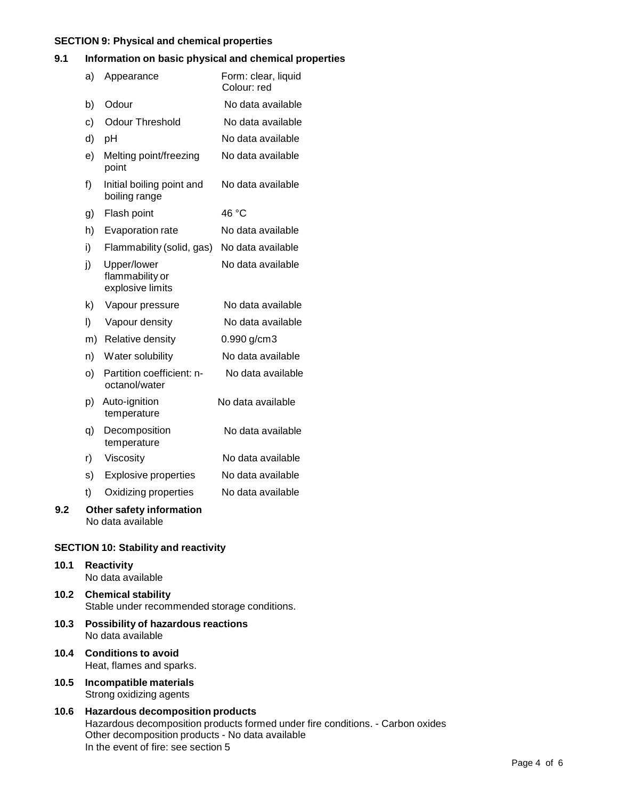#### **SECTION 9: Physical and chemical properties**

#### **9.1 Information on basic physical and chemical properties**

|     | a) | Appearance                                         | Form: clear, liquid<br>Colour: red |
|-----|----|----------------------------------------------------|------------------------------------|
|     | b) | Odour                                              | No data available                  |
|     | c) | <b>Odour Threshold</b>                             | No data available                  |
|     | d) | pH                                                 | No data available                  |
|     | e) | Melting point/freezing<br>point                    | No data available                  |
|     | f) | Initial boiling point and<br>boiling range         | No data available                  |
|     | g) | Flash point                                        | 46 °C                              |
|     | h) | Evaporation rate                                   | No data available                  |
|     | i) | Flammability (solid, gas)                          | No data available                  |
|     | j) | Upper/lower<br>flammability or<br>explosive limits | No data available                  |
|     | k) | Vapour pressure                                    | No data available                  |
|     | I) | Vapour density                                     | No data available                  |
|     | m) | Relative density                                   | 0.990 g/cm3                        |
|     | n) | Water solubility                                   | No data available                  |
|     | O) | Partition coefficient: n-<br>octanol/water         | No data available                  |
|     | p) | Auto-ignition<br>temperature                       | No data available                  |
|     | q) | Decomposition<br>temperature                       | No data available                  |
|     | r) | Viscosity                                          | No data available                  |
|     | s) | <b>Explosive properties</b>                        | No data available                  |
|     | t) | Oxidizing properties                               | No data available                  |
| 9.2 |    | Other safety information<br>No data available      |                                    |

### **SECTION 10: Stability and reactivity**

- **10.1 Reactivity** No data available **10.2 Chemical stability** Stable under recommended storage conditions.
- **10.3 Possibility of hazardous reactions** No data available
- **10.4 Conditions to avoid** Heat, flames and sparks.
- **10.5 Incompatible materials** Strong oxidizing agents

#### **10.6 Hazardous decomposition products** Hazardous decomposition products formed under fire conditions. - Carbon oxides Other decomposition products - No data available In the event of fire: see section 5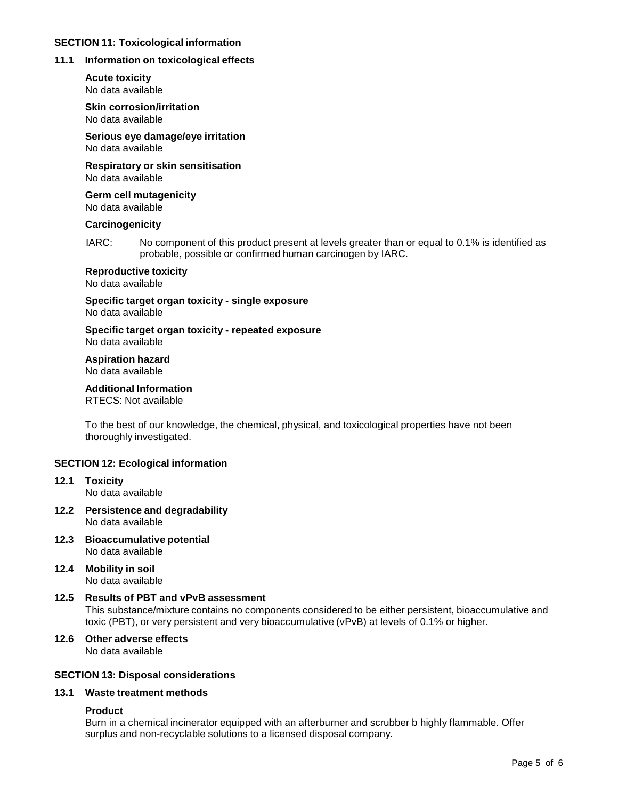#### **SECTION 11: Toxicological information**

# **11.1 Information on toxicological effects**

**Acute toxicity** No data available

**Skin corrosion/irritation** No data available

**Serious eye damage/eye irritation** No data available

**Respiratory orskin sensitisation** No data available

**Germ cell mutagenicity** No data available

## **Carcinogenicity**

IARC: No component of this product present at levels greater than or equal to 0.1% is identified as probable, possible or confirmed human carcinogen by IARC.

# **Reproductive toxicity**

No data available

**Specific target organ toxicity - single exposure** No data available

**Specific target organ toxicity - repeated exposure**

No data available

# **Aspiration hazard**

No data available

# **Additional Information**

RTECS: Not available

To the best of our knowledge, the chemical, physical, and toxicological properties have not been thoroughly investigated.

# **SECTION 12: Ecological information**

- **12.1 Toxicity** No data available
- **12.2 Persistence and degradability** No data available
- **12.3 Bioaccumulative potential** No data available
- **12.4 Mobility in soil** No data available

# **12.5 Results of PBT and vPvB assessment**

This substance/mixture contains no components considered to be either persistent, bioaccumulative and toxic (PBT), or very persistent and very bioaccumulative (vPvB) at levels of 0.1% or higher.

**12.6 Other adverse effects** No data available

# **SECTION 13: Disposal considerations**

# **13.1 Waste treatment methods**

# **Product**

Burn in a chemical incinerator equipped with an afterburner and scrubber b highly flammable. Offer surplus and non-recyclable solutions to a licensed disposal company.